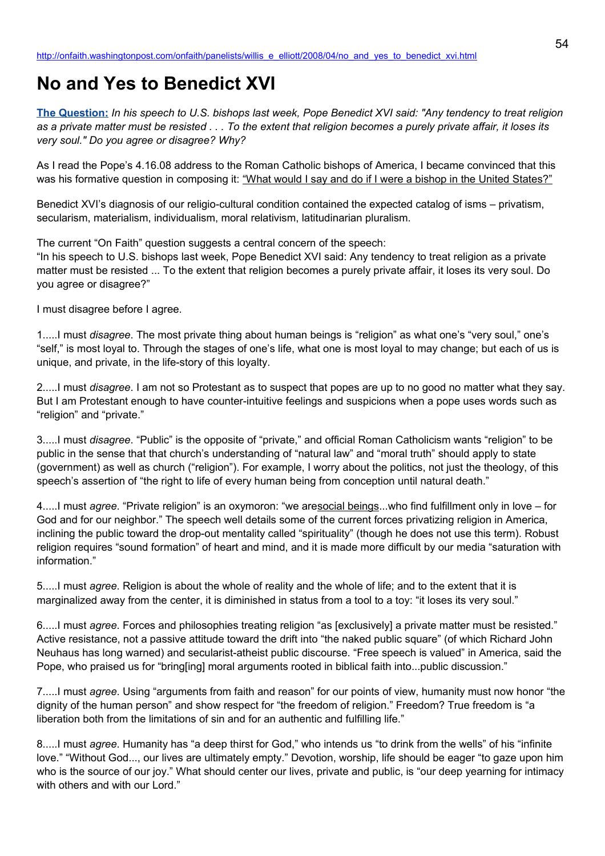## **No and Yes to Benedict XVI**

**[The Question:](http://newsweek.washingtonpost.com/onfaith/2008/04/religion_a_private_matter/all.html)** *In his speech to U.S. bishops last week, Pope Benedict XVI said: "Any tendency to treat religion as a private matter must be resisted . . . To the extent that religion becomes a purely private affair, it loses its very soul." Do you agree or disagree? Why?*

As I read the Pope's 4.16.08 address to the Roman Catholic bishops of America, I became convinced that this was his formative question in composing it: "What would I say and do if I were a bishop in the United States?"

Benedict XVI's diagnosis of our religio-cultural condition contained the expected catalog of isms – privatism, secularism, materialism, individualism, moral relativism, latitudinarian pluralism.

The current "On Faith" question suggests a central concern of the speech:

"In his speech to U.S. bishops last week, Pope Benedict XVI said: Any tendency to treat religion as a private matter must be resisted ... To the extent that religion becomes a purely private affair, it loses its very soul. Do you agree or disagree?"

I must disagree before I agree.

1.....I must *disagree*. The most private thing about human beings is "religion" as what one's "very soul," one's "self," is most loyal to. Through the stages of one's life, what one is most loyal to may change; but each of us is unique, and private, in the life-story of this loyalty.

2.....I must *disagree*. I am not so Protestant as to suspect that popes are up to no good no matter what they say. But I am Protestant enough to have counter-intuitive feelings and suspicions when a pope uses words such as "religion" and "private."

3.....I must *disagree*. "Public" is the opposite of "private," and official Roman Catholicism wants "religion" to be public in the sense that that church's understanding of "natural law" and "moral truth" should apply to state (government) as well as church ("religion"). For example, I worry about the politics, not just the theology, of this speech's assertion of "the right to life of every human being from conception until natural death."

4.....I must *agree*. "Private religion" is an oxymoron: "we aresocial beings...who find fulfillment only in love – for God and for our neighbor." The speech well details some of the current forces privatizing religion in America, inclining the public toward the drop-out mentality called "spirituality" (though he does not use this term). Robust religion requires "sound formation" of heart and mind, and it is made more difficult by our media "saturation with information."

5.....I must *agree*. Religion is about the whole of reality and the whole of life; and to the extent that it is marginalized away from the center, it is diminished in status from a tool to a toy: "it loses its very soul."

6.....I must *agree*. Forces and philosophies treating religion "as [exclusively] a private matter must be resisted." Active resistance, not a passive attitude toward the drift into "the naked public square" (of which Richard John Neuhaus has long warned) and secularist-atheist public discourse. "Free speech is valued" in America, said the Pope, who praised us for "bring[ing] moral arguments rooted in biblical faith into...public discussion."

7.....I must *agree*. Using "arguments from faith and reason" for our points of view, humanity must now honor "the dignity of the human person" and show respect for "the freedom of religion." Freedom? True freedom is "a liberation both from the limitations of sin and for an authentic and fulfilling life."

8.....I must *agree*. Humanity has "a deep thirst for God," who intends us "to drink from the wells" of his "infinite love." "Without God..., our lives are ultimately empty." Devotion, worship, life should be eager "to gaze upon him who is the source of our joy." What should center our lives, private and public, is "our deep yearning for intimacy with others and with our Lord."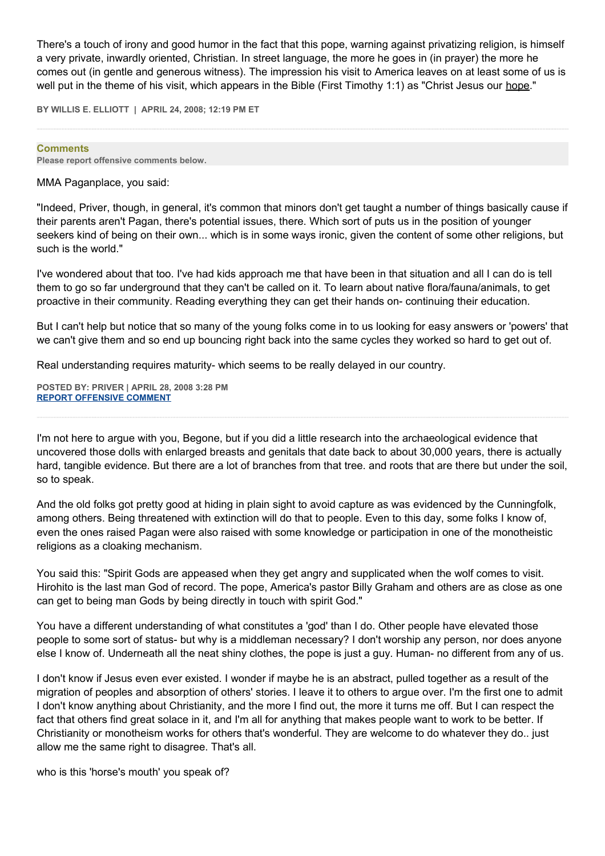There's a touch of irony and good humor in the fact that this pope, warning against privatizing religion, is himself a very private, inwardly oriented, Christian. In street language, the more he goes in (in prayer) the more he comes out (in gentle and generous witness). The impression his visit to America leaves on at least some of us is well put in the theme of his visit, which appears in the Bible (First Timothy 1:1) as "Christ Jesus our hope."

**BY WILLIS E. ELLIOTT | APRIL 24, 2008; 12:19 PM ET** 

**Comments Please report offensive comments below.**

## MMA Paganplace, you said:

"Indeed, Priver, though, in general, it's common that minors don't get taught a number of things basically cause if their parents aren't Pagan, there's potential issues, there. Which sort of puts us in the position of younger seekers kind of being on their own... which is in some ways ironic, given the content of some other religions, but such is the world."

I've wondered about that too. I've had kids approach me that have been in that situation and all I can do is tell them to go so far underground that they can't be called on it. To learn about native flora/fauna/animals, to get proactive in their community. Reading everything they can get their hands on- continuing their education.

But I can't help but notice that so many of the young folks come in to us looking for easy answers or 'powers' that we can't give them and so end up bouncing right back into the same cycles they worked so hard to get out of.

Real understanding requires maturity- which seems to be really delayed in our country.

**POSTED BY: PRIVER | APRIL 28, 2008 3:28 PM [REPORT OFFENSIVE COMMENT](mailto:blogs@washingtonpost.com?subject=On%20Faith%20Panelists%20Blog%20%20%7C%20%20Priver%20%20%7C%20%20No%20and%20Yes%20to%20Benedict%20XVI%20%20%7C%20%203308083&body=%0D%0D%0D%0D%0D================%0D?__mode=view%26_type=comment%26id=3308083%26blog_id=618)**

I'm not here to argue with you, Begone, but if you did a little research into the archaeological evidence that uncovered those dolls with enlarged breasts and genitals that date back to about 30,000 years, there is actually hard, tangible evidence. But there are a lot of branches from that tree. and roots that are there but under the soil, so to speak.

And the old folks got pretty good at hiding in plain sight to avoid capture as was evidenced by the Cunningfolk, among others. Being threatened with extinction will do that to people. Even to this day, some folks I know of, even the ones raised Pagan were also raised with some knowledge or participation in one of the monotheistic religions as a cloaking mechanism.

You said this: "Spirit Gods are appeased when they get angry and supplicated when the wolf comes to visit. Hirohito is the last man God of record. The pope, America's pastor Billy Graham and others are as close as one can get to being man Gods by being directly in touch with spirit God."

You have a different understanding of what constitutes a 'god' than I do. Other people have elevated those people to some sort of status- but why is a middleman necessary? I don't worship any person, nor does anyone else I know of. Underneath all the neat shiny clothes, the pope is just a guy. Human- no different from any of us.

I don't know if Jesus even ever existed. I wonder if maybe he is an abstract, pulled together as a result of the migration of peoples and absorption of others' stories. I leave it to others to argue over. I'm the first one to admit I don't know anything about Christianity, and the more I find out, the more it turns me off. But I can respect the fact that others find great solace in it, and I'm all for anything that makes people want to work to be better. If Christianity or monotheism works for others that's wonderful. They are welcome to do whatever they do.. just allow me the same right to disagree. That's all.

who is this 'horse's mouth' you speak of?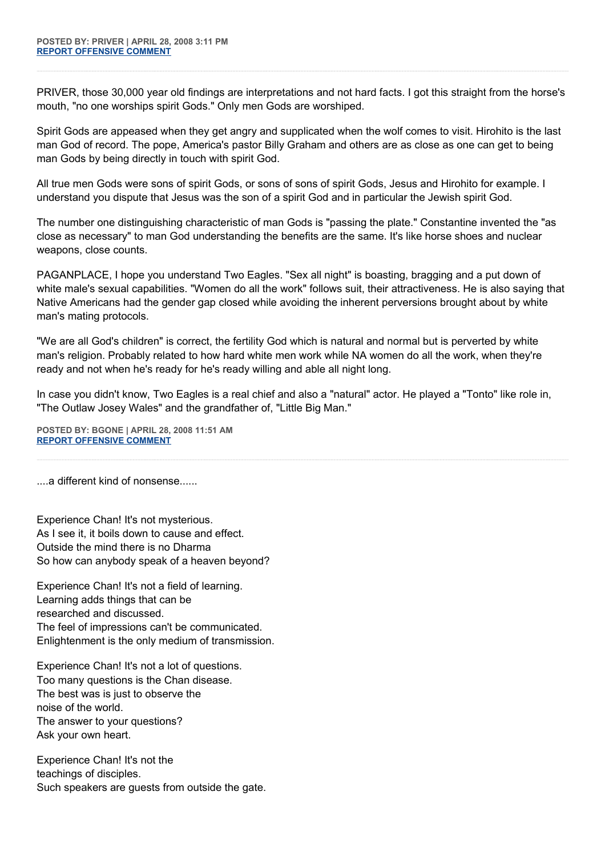PRIVER, those 30,000 year old findings are interpretations and not hard facts. I got this straight from the horse's mouth, "no one worships spirit Gods." Only men Gods are worshiped.

Spirit Gods are appeased when they get angry and supplicated when the wolf comes to visit. Hirohito is the last man God of record. The pope, America's pastor Billy Graham and others are as close as one can get to being man Gods by being directly in touch with spirit God.

All true men Gods were sons of spirit Gods, or sons of sons of spirit Gods, Jesus and Hirohito for example. I understand you dispute that Jesus was the son of a spirit God and in particular the Jewish spirit God.

The number one distinguishing characteristic of man Gods is "passing the plate." Constantine invented the "as close as necessary" to man God understanding the benefits are the same. It's like horse shoes and nuclear weapons, close counts.

PAGANPLACE, I hope you understand Two Eagles. "Sex all night" is boasting, bragging and a put down of white male's sexual capabilities. "Women do all the work" follows suit, their attractiveness. He is also saying that Native Americans had the gender gap closed while avoiding the inherent perversions brought about by white man's mating protocols.

"We are all God's children" is correct, the fertility God which is natural and normal but is perverted by white man's religion. Probably related to how hard white men work while NA women do all the work, when they're ready and not when he's ready for he's ready willing and able all night long.

In case you didn't know, Two Eagles is a real chief and also a "natural" actor. He played a "Tonto" like role in, "The Outlaw Josey Wales" and the grandfather of, "Little Big Man."

**POSTED BY: BGONE | APRIL 28, 2008 11:51 AM [REPORT OFFENSIVE COMMENT](mailto:blogs@washingtonpost.com?subject=On%20Faith%20Panelists%20Blog%20%20%7C%20%20BGone%20%20%7C%20%20No%20and%20Yes%20to%20Benedict%20XVI%20%20%7C%20%203306563&body=%0D%0D%0D%0D%0D================%0D?__mode=view%26_type=comment%26id=3306563%26blog_id=618)**

....a different kind of nonsense......

Experience Chan! It's not mysterious. As I see it, it boils down to cause and effect. Outside the mind there is no Dharma So how can anybody speak of a heaven beyond?

Experience Chan! It's not a field of learning. Learning adds things that can be researched and discussed. The feel of impressions can't be communicated. Enlightenment is the only medium of transmission.

Experience Chan! It's not a lot of questions. Too many questions is the Chan disease. The best was is just to observe the noise of the world. The answer to your questions? Ask your own heart.

Experience Chan! It's not the teachings of disciples. Such speakers are guests from outside the gate.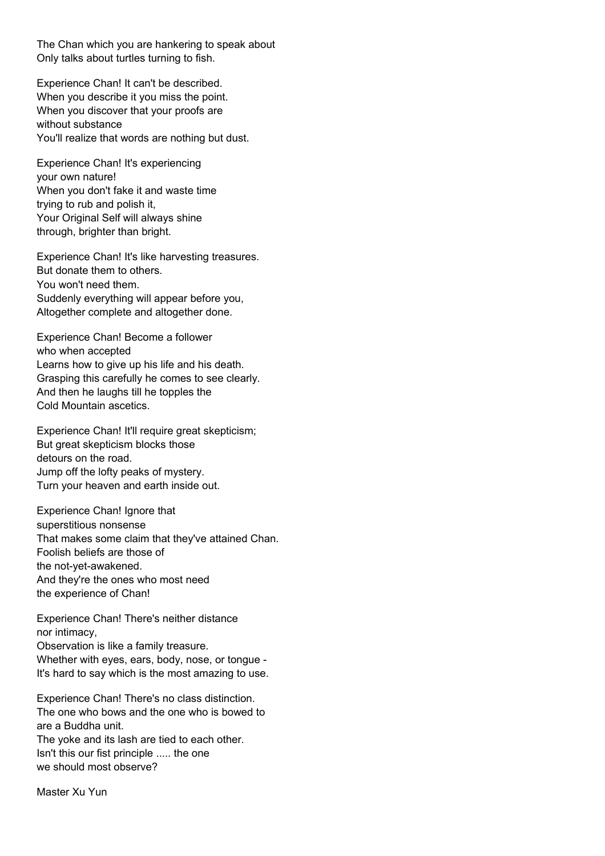The Chan which you are hankering to speak about Only talks about turtles turning to fish.

Experience Chan! It can't be described. When you describe it you miss the point. When you discover that your proofs are without substance You'll realize that words are nothing but dust.

Experience Chan! It's experiencing your own nature! When you don't fake it and waste time trying to rub and polish it, Your Original Self will always shine through, brighter than bright.

Experience Chan! It's like harvesting treasures. But donate them to others. You won't need them. Suddenly everything will appear before you, Altogether complete and altogether done.

Experience Chan! Become a follower who when accepted Learns how to give up his life and his death. Grasping this carefully he comes to see clearly. And then he laughs till he topples the Cold Mountain ascetics.

Experience Chan! It'll require great skepticism; But great skepticism blocks those detours on the road. Jump off the lofty peaks of mystery. Turn your heaven and earth inside out.

Experience Chan! Ignore that superstitious nonsense That makes some claim that they've attained Chan. Foolish beliefs are those of the not-yet-awakened. And they're the ones who most need the experience of Chan!

Experience Chan! There's neither distance nor intimacy,

Observation is like a family treasure. Whether with eyes, ears, body, nose, or tongue - It's hard to say which is the most amazing to use.

Experience Chan! There's no class distinction. The one who bows and the one who is bowed to are a Buddha unit. The yoke and its lash are tied to each other. Isn't this our fist principle ..... the one we should most observe?

Master Xu Yun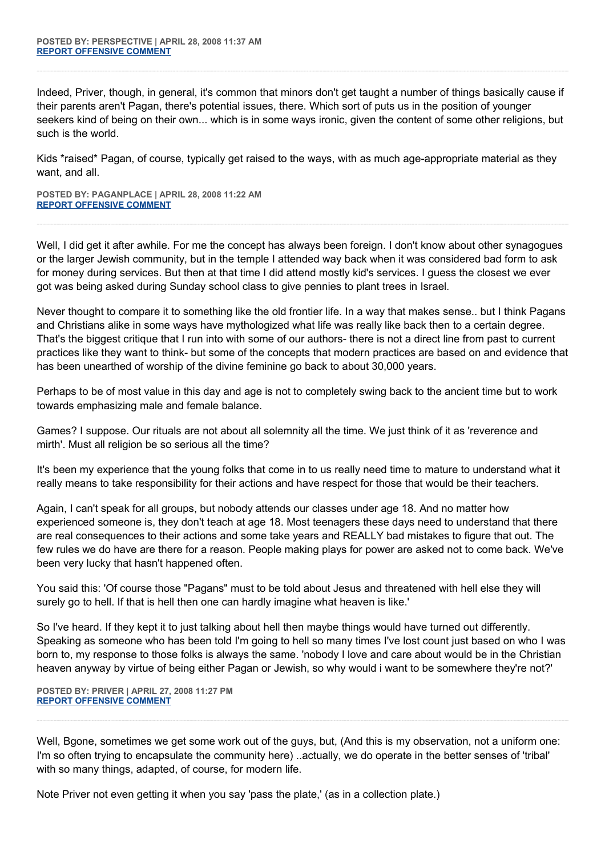Indeed, Priver, though, in general, it's common that minors don't get taught a number of things basically cause if their parents aren't Pagan, there's potential issues, there. Which sort of puts us in the position of younger seekers kind of being on their own... which is in some ways ironic, given the content of some other religions, but such is the world.

Kids \*raised\* Pagan, of course, typically get raised to the ways, with as much age-appropriate material as they want, and all.

**POSTED BY: PAGANPLACE | APRIL 28, 2008 11:22 AM [REPORT OFFENSIVE COMMENT](mailto:blogs@washingtonpost.com?subject=On%20Faith%20Panelists%20Blog%20%20%7C%20%20Paganplace%20%20%7C%20%20No%20and%20Yes%20to%20Benedict%20XVI%20%20%7C%20%203306388&body=%0D%0D%0D%0D%0D================%0D?__mode=view%26_type=comment%26id=3306388%26blog_id=618)**

Well, I did get it after awhile. For me the concept has always been foreign. I don't know about other synagogues or the larger Jewish community, but in the temple I attended way back when it was considered bad form to ask for money during services. But then at that time I did attend mostly kid's services. I guess the closest we ever got was being asked during Sunday school class to give pennies to plant trees in Israel.

Never thought to compare it to something like the old frontier life. In a way that makes sense.. but I think Pagans and Christians alike in some ways have mythologized what life was really like back then to a certain degree. That's the biggest critique that I run into with some of our authors- there is not a direct line from past to current practices like they want to think- but some of the concepts that modern practices are based on and evidence that has been unearthed of worship of the divine feminine go back to about 30,000 years.

Perhaps to be of most value in this day and age is not to completely swing back to the ancient time but to work towards emphasizing male and female balance.

Games? I suppose. Our rituals are not about all solemnity all the time. We just think of it as 'reverence and mirth'. Must all religion be so serious all the time?

It's been my experience that the young folks that come in to us really need time to mature to understand what it really means to take responsibility for their actions and have respect for those that would be their teachers.

Again, I can't speak for all groups, but nobody attends our classes under age 18. And no matter how experienced someone is, they don't teach at age 18. Most teenagers these days need to understand that there are real consequences to their actions and some take years and REALLY bad mistakes to figure that out. The few rules we do have are there for a reason. People making plays for power are asked not to come back. We've been very lucky that hasn't happened often.

You said this: 'Of course those "Pagans" must to be told about Jesus and threatened with hell else they will surely go to hell. If that is hell then one can hardly imagine what heaven is like.'

So I've heard. If they kept it to just talking about hell then maybe things would have turned out differently. Speaking as someone who has been told I'm going to hell so many times I've lost count just based on who I was born to, my response to those folks is always the same. 'nobody I love and care about would be in the Christian heaven anyway by virtue of being either Pagan or Jewish, so why would i want to be somewhere they're not?'

**POSTED BY: PRIVER | APRIL 27, 2008 11:27 PM [REPORT OFFENSIVE COMMENT](mailto:blogs@washingtonpost.com?subject=On%20Faith%20Panelists%20Blog%20%20%7C%20%20Priver%20%20%7C%20%20No%20and%20Yes%20to%20Benedict%20XVI%20%20%7C%20%203301609&body=%0D%0D%0D%0D%0D================%0D?__mode=view%26_type=comment%26id=3301609%26blog_id=618)**

Well, Bgone, sometimes we get some work out of the guys, but, (And this is my observation, not a uniform one: I'm so often trying to encapsulate the community here) ..actually, we do operate in the better senses of 'tribal' with so many things, adapted, of course, for modern life.

Note Priver not even getting it when you say 'pass the plate,' (as in a collection plate.)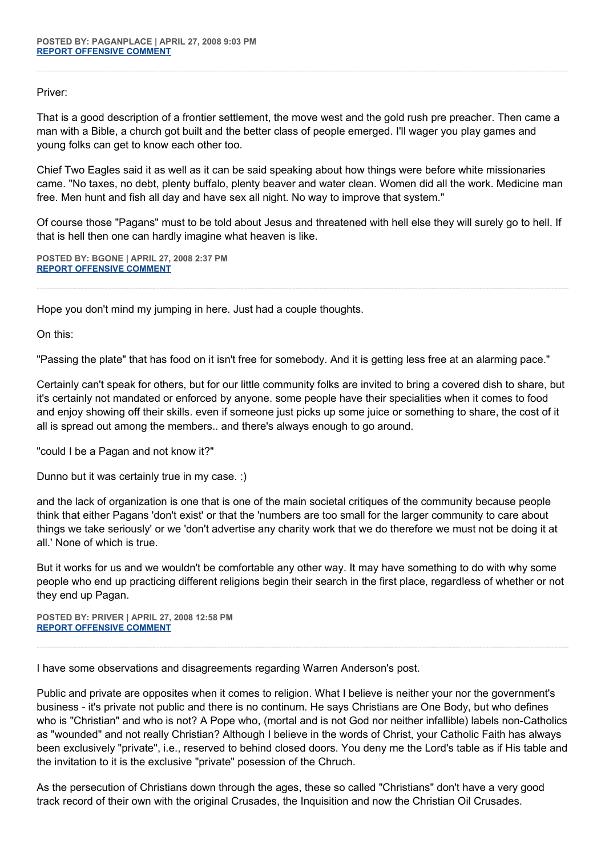Priver:

That is a good description of a frontier settlement, the move west and the gold rush pre preacher. Then came a man with a Bible, a church got built and the better class of people emerged. I'll wager you play games and young folks can get to know each other too.

Chief Two Eagles said it as well as it can be said speaking about how things were before white missionaries came. "No taxes, no debt, plenty buffalo, plenty beaver and water clean. Women did all the work. Medicine man free. Men hunt and fish all day and have sex all night. No way to improve that system."

Of course those "Pagans" must to be told about Jesus and threatened with hell else they will surely go to hell. If that is hell then one can hardly imagine what heaven is like.

**POSTED BY: BGONE | APRIL 27, 2008 2:37 PM [REPORT OFFENSIVE COMMENT](mailto:blogs@washingtonpost.com?subject=On%20Faith%20Panelists%20Blog%20%20%7C%20%20BGone%20%20%7C%20%20No%20and%20Yes%20to%20Benedict%20XVI%20%20%7C%20%203297335&body=%0D%0D%0D%0D%0D================%0D?__mode=view%26_type=comment%26id=3297335%26blog_id=618)**

Hope you don't mind my jumping in here. Just had a couple thoughts.

On this:

"Passing the plate" that has food on it isn't free for somebody. And it is getting less free at an alarming pace."

Certainly can't speak for others, but for our little community folks are invited to bring a covered dish to share, but it's certainly not mandated or enforced by anyone. some people have their specialities when it comes to food and enjoy showing off their skills. even if someone just picks up some juice or something to share, the cost of it all is spread out among the members.. and there's always enough to go around.

"could I be a Pagan and not know it?"

Dunno but it was certainly true in my case. :)

and the lack of organization is one that is one of the main societal critiques of the community because people think that either Pagans 'don't exist' or that the 'numbers are too small for the larger community to care about things we take seriously' or we 'don't advertise any charity work that we do therefore we must not be doing it at all.' None of which is true.

But it works for us and we wouldn't be comfortable any other way. It may have something to do with why some people who end up practicing different religions begin their search in the first place, regardless of whether or not they end up Pagan.

**POSTED BY: PRIVER | APRIL 27, 2008 12:58 PM [REPORT OFFENSIVE COMMENT](mailto:blogs@washingtonpost.com?subject=On%20Faith%20Panelists%20Blog%20%20%7C%20%20Priver%20%20%7C%20%20No%20and%20Yes%20to%20Benedict%20XVI%20%20%7C%20%203296485&body=%0D%0D%0D%0D%0D================%0D?__mode=view%26_type=comment%26id=3296485%26blog_id=618)**

I have some observations and disagreements regarding Warren Anderson's post.

Public and private are opposites when it comes to religion. What I believe is neither your nor the government's business - it's private not public and there is no continum. He says Christians are One Body, but who defines who is "Christian" and who is not? A Pope who, (mortal and is not God nor neither infallible) labels non-Catholics as "wounded" and not really Christian? Although I believe in the words of Christ, your Catholic Faith has always been exclusively "private", i.e., reserved to behind closed doors. You deny me the Lord's table as if His table and the invitation to it is the exclusive "private" posession of the Chruch.

As the persecution of Christians down through the ages, these so called "Christians" don't have a very good track record of their own with the original Crusades, the Inquisition and now the Christian Oil Crusades.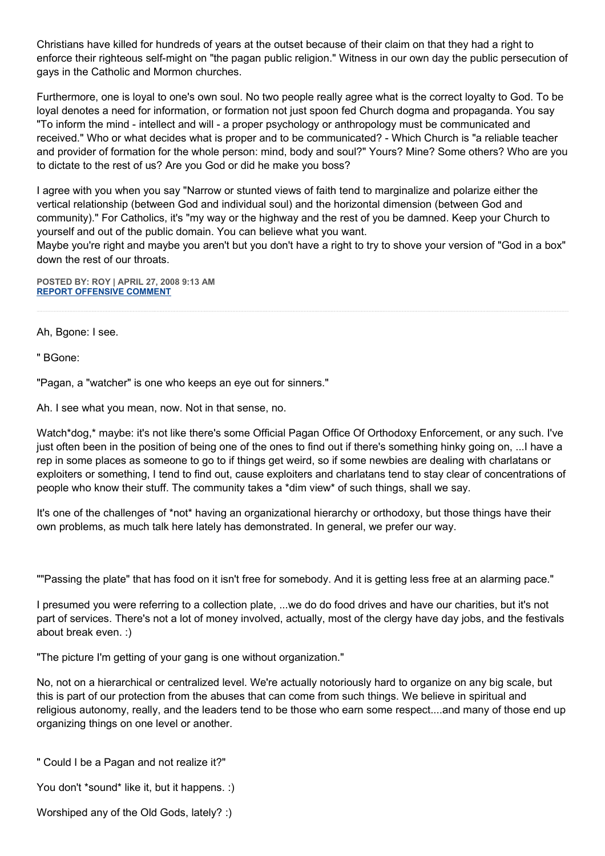Christians have killed for hundreds of years at the outset because of their claim on that they had a right to enforce their righteous self-might on "the pagan public religion." Witness in our own day the public persecution of gays in the Catholic and Mormon churches.

Furthermore, one is loyal to one's own soul. No two people really agree what is the correct loyalty to God. To be loyal denotes a need for information, or formation not just spoon fed Church dogma and propaganda. You say "To inform the mind - intellect and will - a proper psychology or anthropology must be communicated and received." Who or what decides what is proper and to be communicated? - Which Church is "a reliable teacher and provider of formation for the whole person: mind, body and soul?" Yours? Mine? Some others? Who are you to dictate to the rest of us? Are you God or did he make you boss?

I agree with you when you say "Narrow or stunted views of faith tend to marginalize and polarize either the vertical relationship (between God and individual soul) and the horizontal dimension (between God and community)." For Catholics, it's "my way or the highway and the rest of you be damned. Keep your Church to yourself and out of the public domain. You can believe what you want.

Maybe you're right and maybe you aren't but you don't have a right to try to shove your version of "God in a box" down the rest of our throats.

**POSTED BY: ROY | APRIL 27, 2008 9:13 AM [REPORT OFFENSIVE COMMENT](mailto:blogs@washingtonpost.com?subject=On%20Faith%20Panelists%20Blog%20%20%7C%20%20Roy%20%20%7C%20%20No%20and%20Yes%20to%20Benedict%20XVI%20%20%7C%20%203294639&body=%0D%0D%0D%0D%0D================%0D?__mode=view%26_type=comment%26id=3294639%26blog_id=618)**

Ah, Bgone: I see.

" BGone:

"Pagan, a "watcher" is one who keeps an eye out for sinners."

Ah. I see what you mean, now. Not in that sense, no.

Watch\*dog,\* maybe: it's not like there's some Official Pagan Office Of Orthodoxy Enforcement, or any such. I've just often been in the position of being one of the ones to find out if there's something hinky going on, ...I have a rep in some places as someone to go to if things get weird, so if some newbies are dealing with charlatans or exploiters or something, I tend to find out, cause exploiters and charlatans tend to stay clear of concentrations of people who know their stuff. The community takes a \*dim view\* of such things, shall we say.

It's one of the challenges of \*not\* having an organizational hierarchy or orthodoxy, but those things have their own problems, as much talk here lately has demonstrated. In general, we prefer our way.

""Passing the plate" that has food on it isn't free for somebody. And it is getting less free at an alarming pace."

I presumed you were referring to a collection plate, ...we do do food drives and have our charities, but it's not part of services. There's not a lot of money involved, actually, most of the clergy have day jobs, and the festivals about break even. :)

"The picture I'm getting of your gang is one without organization."

No, not on a hierarchical or centralized level. We're actually notoriously hard to organize on any big scale, but this is part of our protection from the abuses that can come from such things. We believe in spiritual and religious autonomy, really, and the leaders tend to be those who earn some respect....and many of those end up organizing things on one level or another.

" Could I be a Pagan and not realize it?"

You don't \*sound\* like it, but it happens. :)

Worshiped any of the Old Gods, lately? :)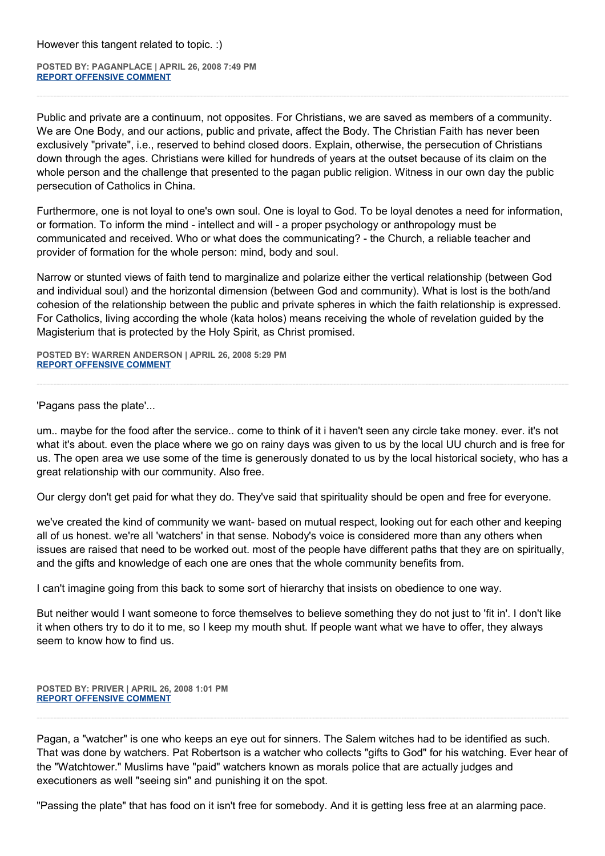**POSTED BY: PAGANPLACE | APRIL 26, 2008 7:49 PM [REPORT OFFENSIVE COMMENT](mailto:blogs@washingtonpost.com?subject=On%20Faith%20Panelists%20Blog%20%20%7C%20%20Paganplace%20%20%7C%20%20No%20and%20Yes%20to%20Benedict%20XVI%20%20%7C%20%203288989&body=%0D%0D%0D%0D%0D================%0D?__mode=view%26_type=comment%26id=3288989%26blog_id=618)**

Public and private are a continuum, not opposites. For Christians, we are saved as members of a community. We are One Body, and our actions, public and private, affect the Body. The Christian Faith has never been exclusively "private", i.e., reserved to behind closed doors. Explain, otherwise, the persecution of Christians down through the ages. Christians were killed for hundreds of years at the outset because of its claim on the whole person and the challenge that presented to the pagan public religion. Witness in our own day the public persecution of Catholics in China.

Furthermore, one is not loyal to one's own soul. One is loyal to God. To be loyal denotes a need for information, or formation. To inform the mind - intellect and will - a proper psychology or anthropology must be communicated and received. Who or what does the communicating? - the Church, a reliable teacher and provider of formation for the whole person: mind, body and soul.

Narrow or stunted views of faith tend to marginalize and polarize either the vertical relationship (between God and individual soul) and the horizontal dimension (between God and community). What is lost is the both/and cohesion of the relationship between the public and private spheres in which the faith relationship is expressed. For Catholics, living according the whole (kata holos) means receiving the whole of revelation guided by the Magisterium that is protected by the Holy Spirit, as Christ promised.

**POSTED BY: WARREN ANDERSON | APRIL 26, 2008 5:29 PM [REPORT OFFENSIVE COMMENT](mailto:blogs@washingtonpost.com?subject=On%20Faith%20Panelists%20Blog%20%20%7C%20%20Warren%20Anderson%20%20%7C%20%20No%20and%20Yes%20to%20Benedict%20XVI%20%20%7C%20%203287764&body=%0D%0D%0D%0D%0D================%0D?__mode=view%26_type=comment%26id=3287764%26blog_id=618)**

'Pagans pass the plate'...

um.. maybe for the food after the service.. come to think of it i haven't seen any circle take money. ever. it's not what it's about. even the place where we go on rainy days was given to us by the local UU church and is free for us. The open area we use some of the time is generously donated to us by the local historical society, who has a great relationship with our community. Also free.

Our clergy don't get paid for what they do. They've said that spirituality should be open and free for everyone.

we've created the kind of community we want- based on mutual respect, looking out for each other and keeping all of us honest. we're all 'watchers' in that sense. Nobody's voice is considered more than any others when issues are raised that need to be worked out. most of the people have different paths that they are on spiritually, and the gifts and knowledge of each one are ones that the whole community benefits from.

I can't imagine going from this back to some sort of hierarchy that insists on obedience to one way.

But neither would I want someone to force themselves to believe something they do not just to 'fit in'. I don't like it when others try to do it to me, so I keep my mouth shut. If people want what we have to offer, they always seem to know how to find us.

**POSTED BY: PRIVER | APRIL 26, 2008 1:01 PM [REPORT OFFENSIVE COMMENT](mailto:blogs@washingtonpost.com?subject=On%20Faith%20Panelists%20Blog%20%20%7C%20%20Priver%20%20%7C%20%20No%20and%20Yes%20to%20Benedict%20XVI%20%20%7C%20%203285406&body=%0D%0D%0D%0D%0D================%0D?__mode=view%26_type=comment%26id=3285406%26blog_id=618)**

Pagan, a "watcher" is one who keeps an eye out for sinners. The Salem witches had to be identified as such. That was done by watchers. Pat Robertson is a watcher who collects "gifts to God" for his watching. Ever hear of the "Watchtower." Muslims have "paid" watchers known as morals police that are actually judges and executioners as well "seeing sin" and punishing it on the spot.

"Passing the plate" that has food on it isn't free for somebody. And it is getting less free at an alarming pace.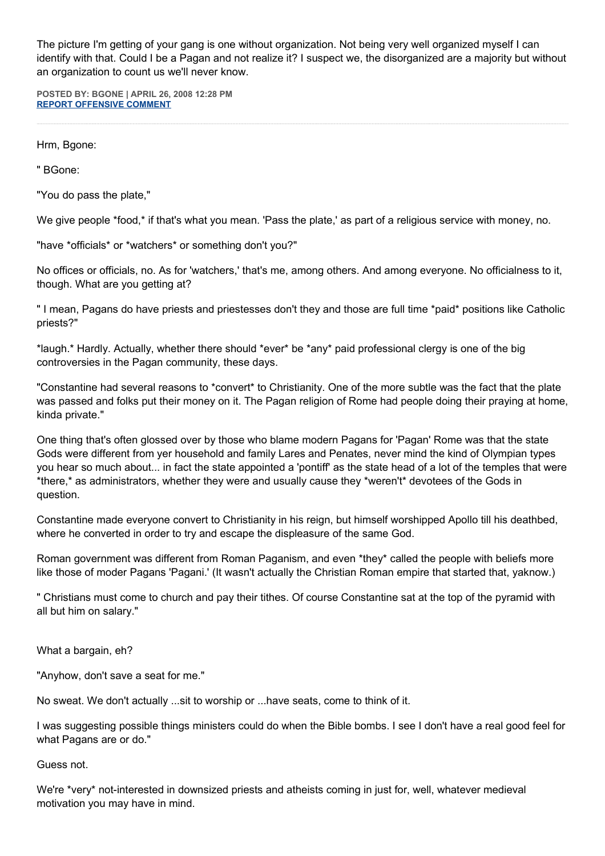The picture I'm getting of your gang is one without organization. Not being very well organized myself I can identify with that. Could I be a Pagan and not realize it? I suspect we, the disorganized are a majority but without an organization to count us we'll never know.

**POSTED BY: BGONE | APRIL 26, 2008 12:28 PM [REPORT OFFENSIVE COMMENT](mailto:blogs@washingtonpost.com?subject=On%20Faith%20Panelists%20Blog%20%20%7C%20%20BGone%20%20%7C%20%20No%20and%20Yes%20to%20Benedict%20XVI%20%20%7C%20%203285136&body=%0D%0D%0D%0D%0D================%0D?__mode=view%26_type=comment%26id=3285136%26blog_id=618)**

Hrm, Bgone:

" BGone:

"You do pass the plate,"

We give people \*food,\* if that's what you mean. 'Pass the plate,' as part of a religious service with money, no.

"have \*officials\* or \*watchers\* or something don't you?"

No offices or officials, no. As for 'watchers,' that's me, among others. And among everyone. No officialness to it, though. What are you getting at?

" I mean, Pagans do have priests and priestesses don't they and those are full time \*paid\* positions like Catholic priests?"

\*laugh.\* Hardly. Actually, whether there should \*ever\* be \*any\* paid professional clergy is one of the big controversies in the Pagan community, these days.

"Constantine had several reasons to \*convert\* to Christianity. One of the more subtle was the fact that the plate was passed and folks put their money on it. The Pagan religion of Rome had people doing their praying at home, kinda private."

One thing that's often glossed over by those who blame modern Pagans for 'Pagan' Rome was that the state Gods were different from yer household and family Lares and Penates, never mind the kind of Olympian types you hear so much about... in fact the state appointed a 'pontiff' as the state head of a lot of the temples that were \*there,\* as administrators, whether they were and usually cause they \*weren't\* devotees of the Gods in question.

Constantine made everyone convert to Christianity in his reign, but himself worshipped Apollo till his deathbed, where he converted in order to try and escape the displeasure of the same God.

Roman government was different from Roman Paganism, and even \*they\* called the people with beliefs more like those of moder Pagans 'Pagani.' (It wasn't actually the Christian Roman empire that started that, yaknow.)

" Christians must come to church and pay their tithes. Of course Constantine sat at the top of the pyramid with all but him on salary."

What a bargain, eh?

"Anyhow, don't save a seat for me."

No sweat. We don't actually ...sit to worship or ...have seats, come to think of it.

I was suggesting possible things ministers could do when the Bible bombs. I see I don't have a real good feel for what Pagans are or do."

Guess not.

We're \*very\* not-interested in downsized priests and atheists coming in just for, well, whatever medieval motivation you may have in mind.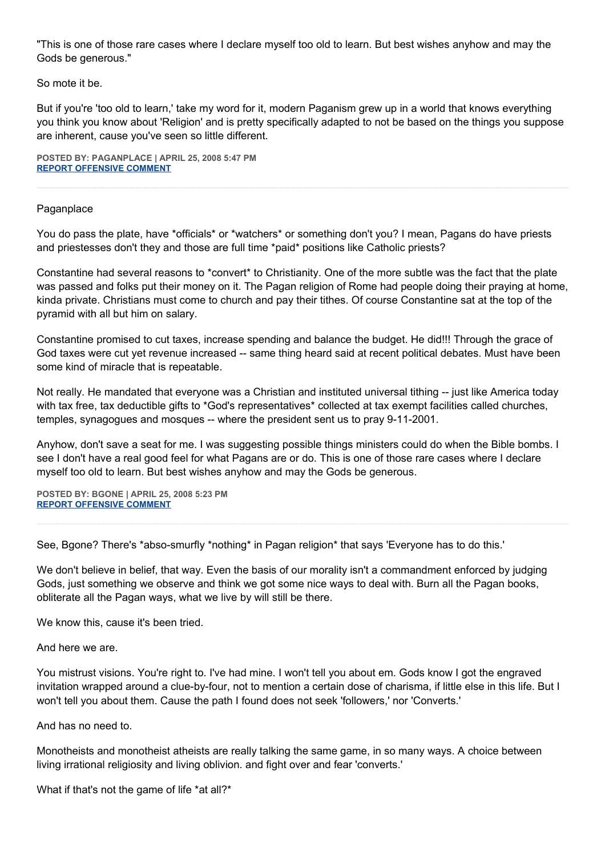"This is one of those rare cases where I declare myself too old to learn. But best wishes anyhow and may the Gods be generous."

So mote it be.

But if you're 'too old to learn,' take my word for it, modern Paganism grew up in a world that knows everything you think you know about 'Religion' and is pretty specifically adapted to not be based on the things you suppose are inherent, cause you've seen so little different.

**POSTED BY: PAGANPLACE | APRIL 25, 2008 5:47 PM [REPORT OFFENSIVE COMMENT](mailto:blogs@washingtonpost.com?subject=On%20Faith%20Panelists%20Blog%20%20%7C%20%20Paganplace%20%20%7C%20%20No%20and%20Yes%20to%20Benedict%20XVI%20%20%7C%20%203276491&body=%0D%0D%0D%0D%0D================%0D?__mode=view%26_type=comment%26id=3276491%26blog_id=618)**

## Paganplace

You do pass the plate, have \*officials\* or \*watchers\* or something don't you? I mean, Pagans do have priests and priestesses don't they and those are full time \*paid\* positions like Catholic priests?

Constantine had several reasons to \*convert\* to Christianity. One of the more subtle was the fact that the plate was passed and folks put their money on it. The Pagan religion of Rome had people doing their praying at home, kinda private. Christians must come to church and pay their tithes. Of course Constantine sat at the top of the pyramid with all but him on salary.

Constantine promised to cut taxes, increase spending and balance the budget. He did!!! Through the grace of God taxes were cut yet revenue increased -- same thing heard said at recent political debates. Must have been some kind of miracle that is repeatable.

Not really. He mandated that everyone was a Christian and instituted universal tithing -- just like America today with tax free, tax deductible gifts to \*God's representatives\* collected at tax exempt facilities called churches, temples, synagogues and mosques -- where the president sent us to pray 9-11-2001.

Anyhow, don't save a seat for me. I was suggesting possible things ministers could do when the Bible bombs. I see I don't have a real good feel for what Pagans are or do. This is one of those rare cases where I declare myself too old to learn. But best wishes anyhow and may the Gods be generous.

**POSTED BY: BGONE | APRIL 25, 2008 5:23 PM [REPORT OFFENSIVE COMMENT](mailto:blogs@washingtonpost.com?subject=On%20Faith%20Panelists%20Blog%20%20%7C%20%20BGone%20%20%7C%20%20No%20and%20Yes%20to%20Benedict%20XVI%20%20%7C%20%203276276&body=%0D%0D%0D%0D%0D================%0D?__mode=view%26_type=comment%26id=3276276%26blog_id=618)**

See, Bgone? There's \*abso-smurfly \*nothing\* in Pagan religion\* that says 'Everyone has to do this.'

We don't believe in belief, that way. Even the basis of our morality isn't a commandment enforced by judging Gods, just something we observe and think we got some nice ways to deal with. Burn all the Pagan books, obliterate all the Pagan ways, what we live by will still be there.

We know this, cause it's been tried.

And here we are.

You mistrust visions. You're right to. I've had mine. I won't tell you about em. Gods know I got the engraved invitation wrapped around a clue-by-four, not to mention a certain dose of charisma, if little else in this life. But I won't tell you about them. Cause the path I found does not seek 'followers,' nor 'Converts.'

And has no need to.

Monotheists and monotheist atheists are really talking the same game, in so many ways. A choice between living irrational religiosity and living oblivion. and fight over and fear 'converts.'

What if that's not the game of life \*at all?\*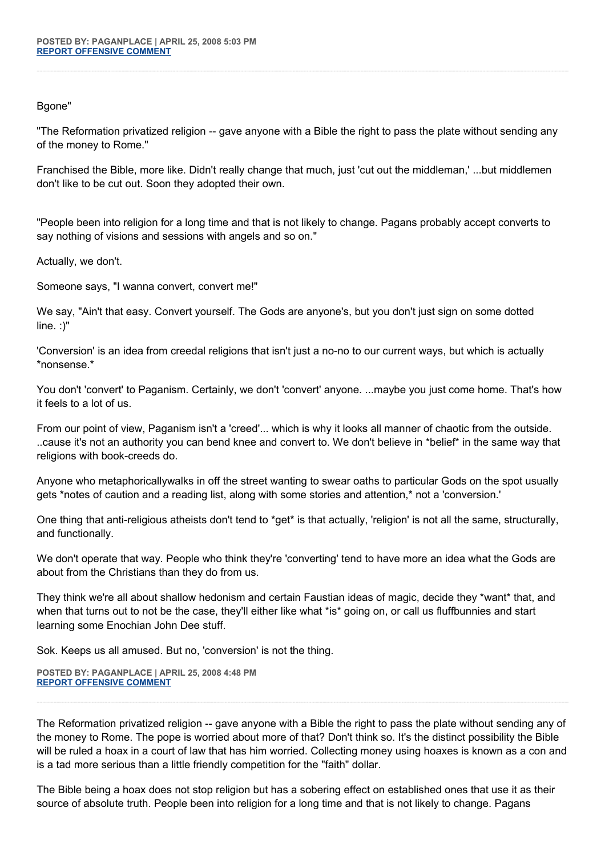## Bgone"

"The Reformation privatized religion -- gave anyone with a Bible the right to pass the plate without sending any of the money to Rome."

Franchised the Bible, more like. Didn't really change that much, just 'cut out the middleman,' ...but middlemen don't like to be cut out. Soon they adopted their own.

"People been into religion for a long time and that is not likely to change. Pagans probably accept converts to say nothing of visions and sessions with angels and so on."

Actually, we don't.

Someone says, "I wanna convert, convert me!"

We say, "Ain't that easy. Convert yourself. The Gods are anyone's, but you don't just sign on some dotted line. :)"

'Conversion' is an idea from creedal religions that isn't just a no-no to our current ways, but which is actually \*nonsense.\*

You don't 'convert' to Paganism. Certainly, we don't 'convert' anyone. ...maybe you just come home. That's how it feels to a lot of us.

From our point of view, Paganism isn't a 'creed'... which is why it looks all manner of chaotic from the outside. ..cause it's not an authority you can bend knee and convert to. We don't believe in \*belief\* in the same way that religions with book-creeds do.

Anyone who metaphoricallywalks in off the street wanting to swear oaths to particular Gods on the spot usually gets \*notes of caution and a reading list, along with some stories and attention,\* not a 'conversion.'

One thing that anti-religious atheists don't tend to \*get\* is that actually, 'religion' is not all the same, structurally, and functionally.

We don't operate that way. People who think they're 'converting' tend to have more an idea what the Gods are about from the Christians than they do from us.

They think we're all about shallow hedonism and certain Faustian ideas of magic, decide they \*want\* that, and when that turns out to not be the case, they'll either like what \*is\* going on, or call us fluffbunnies and start learning some Enochian John Dee stuff.

Sok. Keeps us all amused. But no, 'conversion' is not the thing.

**POSTED BY: PAGANPLACE | APRIL 25, 2008 4:48 PM [REPORT OFFENSIVE COMMENT](mailto:blogs@washingtonpost.com?subject=On%20Faith%20Panelists%20Blog%20%20%7C%20%20Paganplace%20%20%7C%20%20No%20and%20Yes%20to%20Benedict%20XVI%20%20%7C%20%203276040&body=%0D%0D%0D%0D%0D================%0D?__mode=view%26_type=comment%26id=3276040%26blog_id=618)**

The Reformation privatized religion -- gave anyone with a Bible the right to pass the plate without sending any of the money to Rome. The pope is worried about more of that? Don't think so. It's the distinct possibility the Bible will be ruled a hoax in a court of law that has him worried. Collecting money using hoaxes is known as a con and is a tad more serious than a little friendly competition for the "faith" dollar.

The Bible being a hoax does not stop religion but has a sobering effect on established ones that use it as their source of absolute truth. People been into religion for a long time and that is not likely to change. Pagans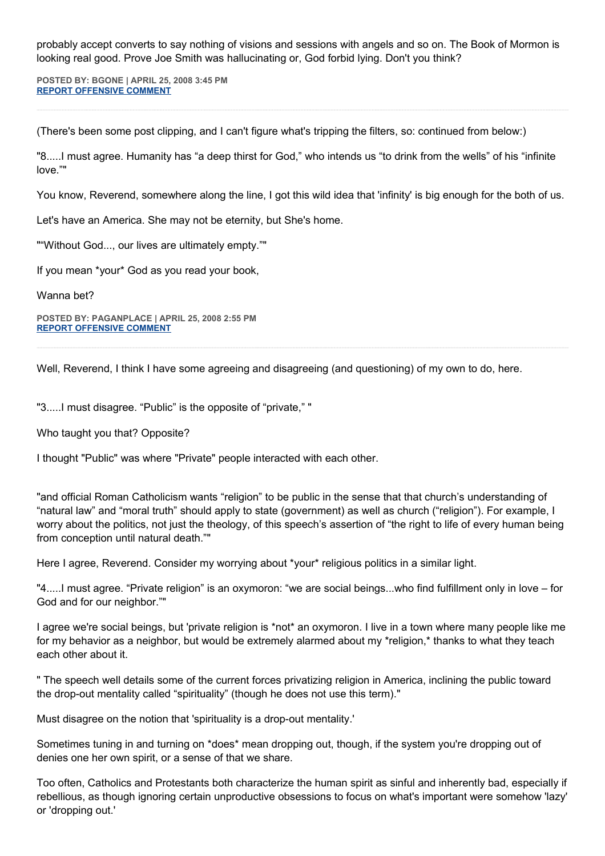probably accept converts to say nothing of visions and sessions with angels and so on. The Book of Mormon is looking real good. Prove Joe Smith was hallucinating or, God forbid lying. Don't you think?

**POSTED BY: BGONE | APRIL 25, 2008 3:45 PM [REPORT OFFENSIVE COMMENT](mailto:blogs@washingtonpost.com?subject=On%20Faith%20Panelists%20Blog%20%20%7C%20%20BGone%20%20%7C%20%20No%20and%20Yes%20to%20Benedict%20XVI%20%20%7C%20%203275495&body=%0D%0D%0D%0D%0D================%0D?__mode=view%26_type=comment%26id=3275495%26blog_id=618)**

(There's been some post clipping, and I can't figure what's tripping the filters, so: continued from below:)

"8.....I must agree. Humanity has "a deep thirst for God," who intends us "to drink from the wells" of his "infinite love.""

You know, Reverend, somewhere along the line, I got this wild idea that 'infinity' is big enough for the both of us.

Let's have an America. She may not be eternity, but She's home.

""Without God..., our lives are ultimately empty.""

If you mean \*your\* God as you read your book,

Wanna bet?

**POSTED BY: PAGANPLACE | APRIL 25, 2008 2:55 PM [REPORT OFFENSIVE COMMENT](mailto:blogs@washingtonpost.com?subject=On%20Faith%20Panelists%20Blog%20%20%7C%20%20Paganplace%20%20%7C%20%20No%20and%20Yes%20to%20Benedict%20XVI%20%20%7C%20%203275099&body=%0D%0D%0D%0D%0D================%0D?__mode=view%26_type=comment%26id=3275099%26blog_id=618)**

Well, Reverend, I think I have some agreeing and disagreeing (and questioning) of my own to do, here.

"3.....I must disagree. "Public" is the opposite of "private," "

Who taught you that? Opposite?

I thought "Public" was where "Private" people interacted with each other.

"and official Roman Catholicism wants "religion" to be public in the sense that that church's understanding of "natural law" and "moral truth" should apply to state (government) as well as church ("religion"). For example, I worry about the politics, not just the theology, of this speech's assertion of "the right to life of every human being from conception until natural death.""

Here I agree, Reverend. Consider my worrying about \*your\* religious politics in a similar light.

"4.....I must agree. "Private religion" is an oxymoron: "we are social beings...who find fulfillment only in love – for God and for our neighbor.""

I agree we're social beings, but 'private religion is \*not\* an oxymoron. I live in a town where many people like me for my behavior as a neighbor, but would be extremely alarmed about my \*religion,\* thanks to what they teach each other about it.

" The speech well details some of the current forces privatizing religion in America, inclining the public toward the drop-out mentality called "spirituality" (though he does not use this term)."

Must disagree on the notion that 'spirituality is a drop-out mentality.'

Sometimes tuning in and turning on \*does\* mean dropping out, though, if the system you're dropping out of denies one her own spirit, or a sense of that we share.

Too often, Catholics and Protestants both characterize the human spirit as sinful and inherently bad, especially if rebellious, as though ignoring certain unproductive obsessions to focus on what's important were somehow 'lazy' or 'dropping out.'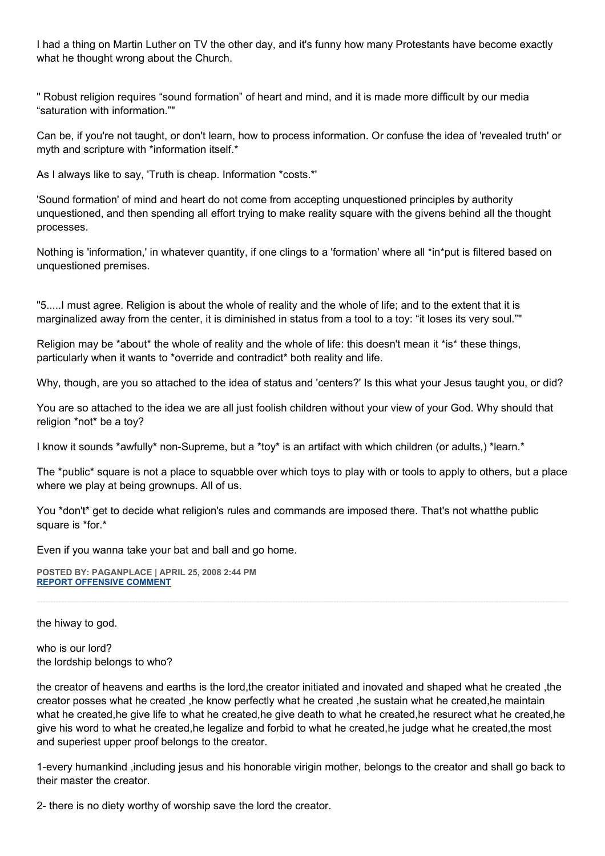I had a thing on Martin Luther on TV the other day, and it's funny how many Protestants have become exactly what he thought wrong about the Church.

" Robust religion requires "sound formation" of heart and mind, and it is made more difficult by our media "saturation with information.""

Can be, if you're not taught, or don't learn, how to process information. Or confuse the idea of 'revealed truth' or myth and scripture with \*information itself.\*

As I always like to say, 'Truth is cheap. Information \*costs.\*'

'Sound formation' of mind and heart do not come from accepting unquestioned principles by authority unquestioned, and then spending all effort trying to make reality square with the givens behind all the thought processes.

Nothing is 'information,' in whatever quantity, if one clings to a 'formation' where all \*in\*put is filtered based on unquestioned premises.

"5.....I must agree. Religion is about the whole of reality and the whole of life; and to the extent that it is marginalized away from the center, it is diminished in status from a tool to a toy: "it loses its very soul.""

Religion may be \*about\* the whole of reality and the whole of life: this doesn't mean it \*is\* these things, particularly when it wants to \*override and contradict\* both reality and life.

Why, though, are you so attached to the idea of status and 'centers?' Is this what your Jesus taught you, or did?

You are so attached to the idea we are all just foolish children without your view of your God. Why should that religion \*not\* be a toy?

I know it sounds \*awfully\* non-Supreme, but a \*toy\* is an artifact with which children (or adults,) \*learn.\*

The \*public\* square is not a place to squabble over which toys to play with or tools to apply to others, but a place where we play at being grownups. All of us.

You \*don't\* get to decide what religion's rules and commands are imposed there. That's not whatthe public square is \*for.\*

Even if you wanna take your bat and ball and go home.

**POSTED BY: PAGANPLACE | APRIL 25, 2008 2:44 PM [REPORT OFFENSIVE COMMENT](mailto:blogs@washingtonpost.com?subject=On%20Faith%20Panelists%20Blog%20%20%7C%20%20Paganplace%20%20%7C%20%20No%20and%20Yes%20to%20Benedict%20XVI%20%20%7C%20%203275022&body=%0D%0D%0D%0D%0D================%0D?__mode=view%26_type=comment%26id=3275022%26blog_id=618)**

the hiway to god.

who is our lord? the lordship belongs to who?

the creator of heavens and earths is the lord,the creator initiated and inovated and shaped what he created ,the creator posses what he created ,he know perfectly what he created ,he sustain what he created,he maintain what he created,he give life to what he created,he give death to what he created,he resurect what he created,he give his word to what he created,he legalize and forbid to what he created,he judge what he created,the most and superiest upper proof belongs to the creator.

1-every humankind ,including jesus and his honorable virigin mother, belongs to the creator and shall go back to their master the creator.

2- there is no diety worthy of worship save the lord the creator.